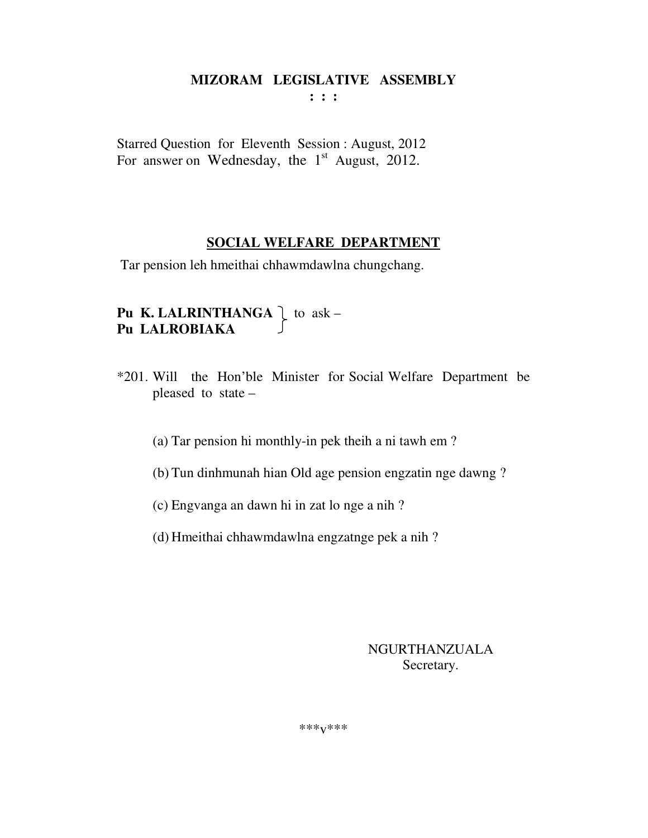**: : :** 

Starred Question for Eleventh Session : August, 2012 For answer on Wednesday, the  $1<sup>st</sup>$  August, 2012.

#### **SOCIAL WELFARE DEPARTMENT**

Tar pension leh hmeithai chhawmdawlna chungchang.

# **Pu K. LALRINTHANGA**  $\bigcup$  to ask – **Pu LALROBIAKA**

- \*201. Will the Hon'ble Minister for Social Welfare Department be pleased to state –
	- (a) Tar pension hi monthly-in pek theih a ni tawh em ?
	- (b) Tun dinhmunah hian Old age pension engzatin nge dawng ?
	- (c) Engvanga an dawn hi in zat lo nge a nih ?
	- (d) Hmeithai chhawmdawlna engzatnge pek a nih ?

#### NGURTHANZUALA Secretary.

\*\*\*v\*\*\*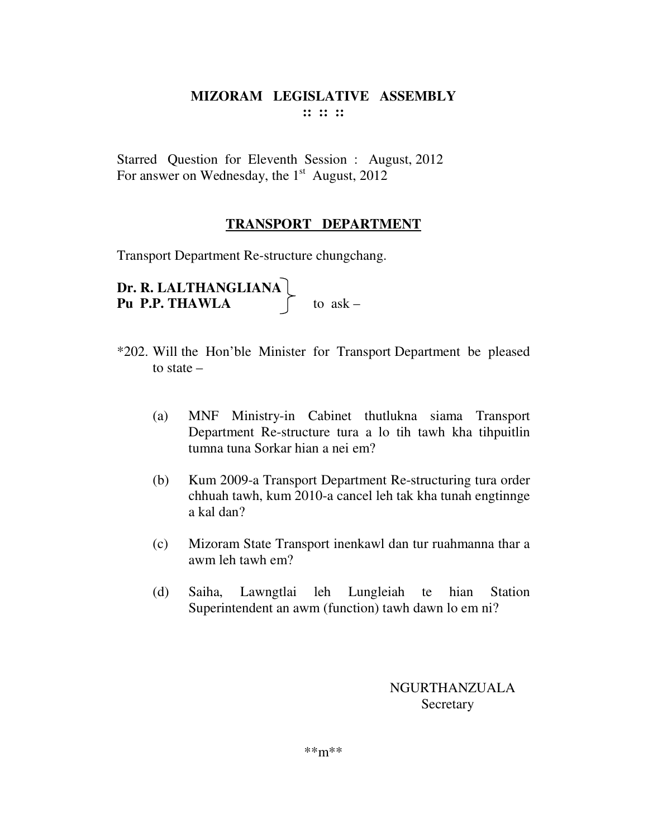# **MIZORAM LEGISLATIVE ASSEMBLY :: :: ::**

Starred Question for Eleventh Session : August, 2012 For answer on Wednesday, the  $1<sup>st</sup>$  August, 2012

# **TRANSPORT DEPARTMENT**

Transport Department Re-structure chungchang.

**Dr. R. LALTHANGLIANA Pu P.P. THAWLA**  $\qquad \qquad$  to ask –

- \*202. Will the Hon'ble Minister for Transport Department be pleased to state –
	- (a) MNF Ministry-in Cabinet thutlukna siama Transport Department Re-structure tura a lo tih tawh kha tihpuitlin tumna tuna Sorkar hian a nei em?
	- (b) Kum 2009-a Transport Department Re-structuring tura order chhuah tawh, kum 2010-a cancel leh tak kha tunah engtinnge a kal dan?
	- (c) Mizoram State Transport inenkawl dan tur ruahmanna thar a awm leh tawh em?
	- (d) Saiha, Lawngtlai leh Lungleiah te hian Station Superintendent an awm (function) tawh dawn lo em ni?

NGURTHANZUALA **Secretary**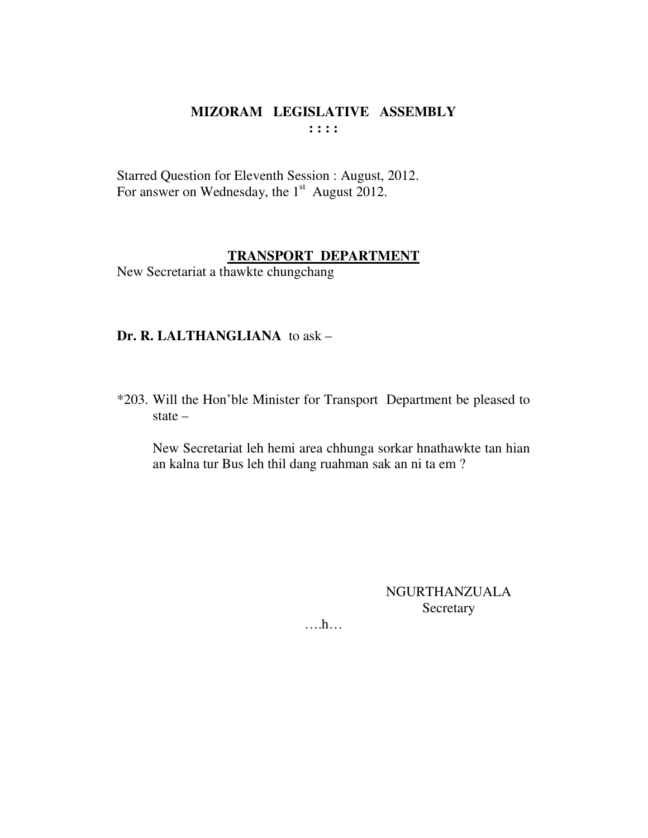# **MIZORAM LEGISLATIVE ASSEMBLY : : : :**

Starred Question for Eleventh Session : August, 2012. For answer on Wednesday, the  $1<sup>st</sup>$  August 2012.

#### **TRANSPORT DEPARTMENT**

New Secretariat a thawkte chungchang

# **Dr. R. LALTHANGLIANA** to ask –

\*203. Will the Hon'ble Minister for Transport Department be pleased to state –

 New Secretariat leh hemi area chhunga sorkar hnathawkte tan hian an kalna tur Bus leh thil dang ruahman sak an ni ta em ?

> NGURTHANZUALA **Secretary**

….h…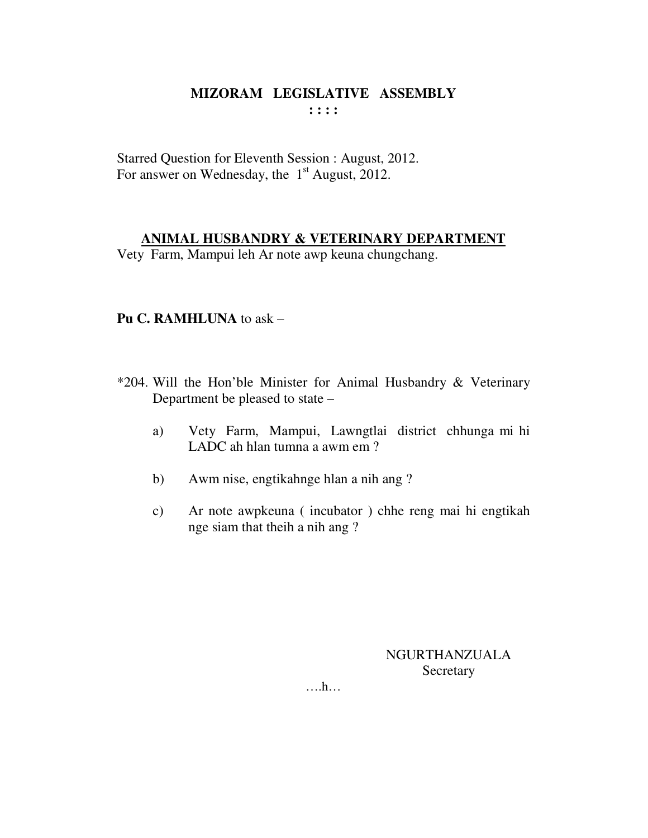# **MIZORAM LEGISLATIVE ASSEMBLY : : : :**

Starred Question for Eleventh Session : August, 2012. For answer on Wednesday, the  $1<sup>st</sup>$  August, 2012.

## **ANIMAL HUSBANDRY & VETERINARY DEPARTMENT**

Vety Farm, Mampui leh Ar note awp keuna chungchang.

# **Pu C. RAMHLUNA** to ask –

- \*204. Will the Hon'ble Minister for Animal Husbandry & Veterinary Department be pleased to state –
	- a) Vety Farm, Mampui, Lawngtlai district chhunga mi hi LADC ah hlan tumna a awm em ?
	- b) Awm nise, engtikahnge hlan a nih ang ?
	- c) Ar note awpkeuna ( incubator ) chhe reng mai hi engtikah nge siam that theih a nih ang ?

NGURTHANZUALA Secretary

….h…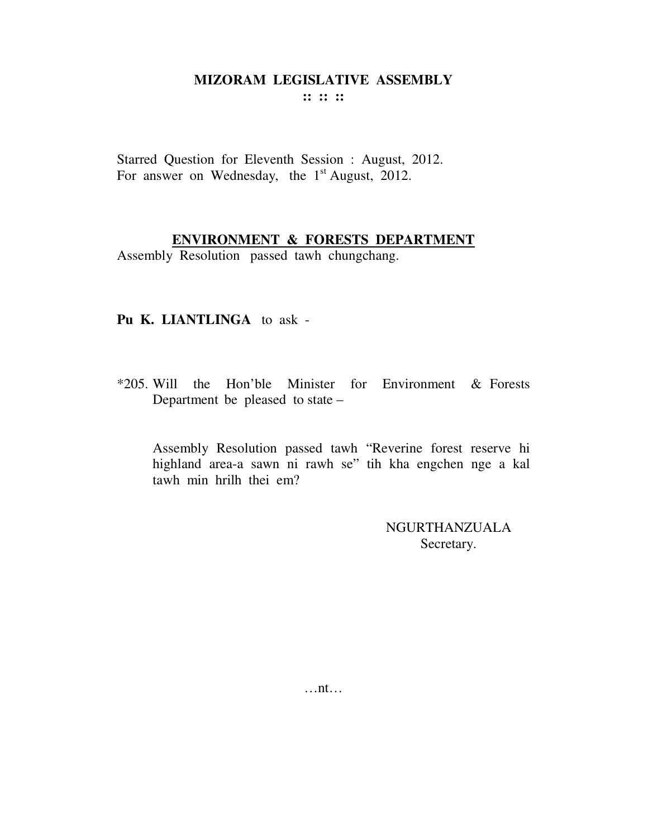:: :: ::

Starred Question for Eleventh Session : August, 2012. For answer on Wednesday, the  $1<sup>st</sup>$  August, 2012.

# ENVIRONMENT & FORESTS DEPARTMENT

Assembly Resolution passed tawh chungchang.

#### Pu K. LIANTLINGA to ask -

\*205. Will the Hon'ble Minister for Environment & Forests Department be pleased to state -

Assembly Resolution passed tawh "Reverine forest reserve hi highland area-a sawn ni rawh se" tih kha engchen nge a kal tawh min hrilh thei em?

> NGURTHANZUALA Secretary.

 $\dots$ nt $\dots$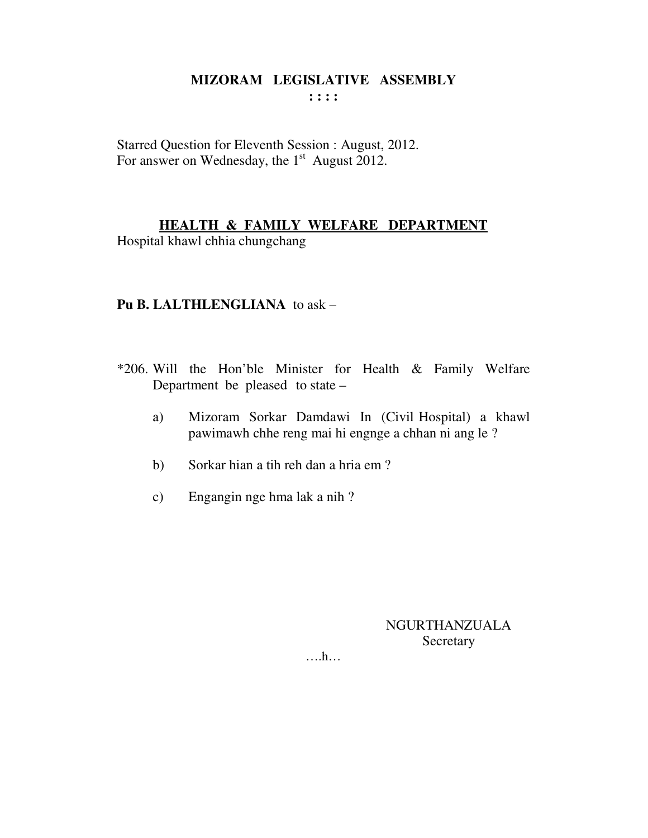#### **MIZORAM LEGISLATIVE ASSEMBLY : : : :**

Starred Question for Eleventh Session : August, 2012. For answer on Wednesday, the  $1<sup>st</sup>$  August 2012.

# **HEALTH & FAMILY WELFARE DEPARTMENT**

Hospital khawl chhia chungchang

# **Pu B. LALTHLENGLIANA** to ask –

- \*206. Will the Hon'ble Minister for Health & Family Welfare Department be pleased to state –
	- a) Mizoram Sorkar Damdawi In (Civil Hospital) a khawl pawimawh chhe reng mai hi engnge a chhan ni ang le ?
	- b) Sorkar hian a tih reh dan a hria em ?
	- c) Engangin nge hma lak a nih ?

NGURTHANZUALA Secretary

….h…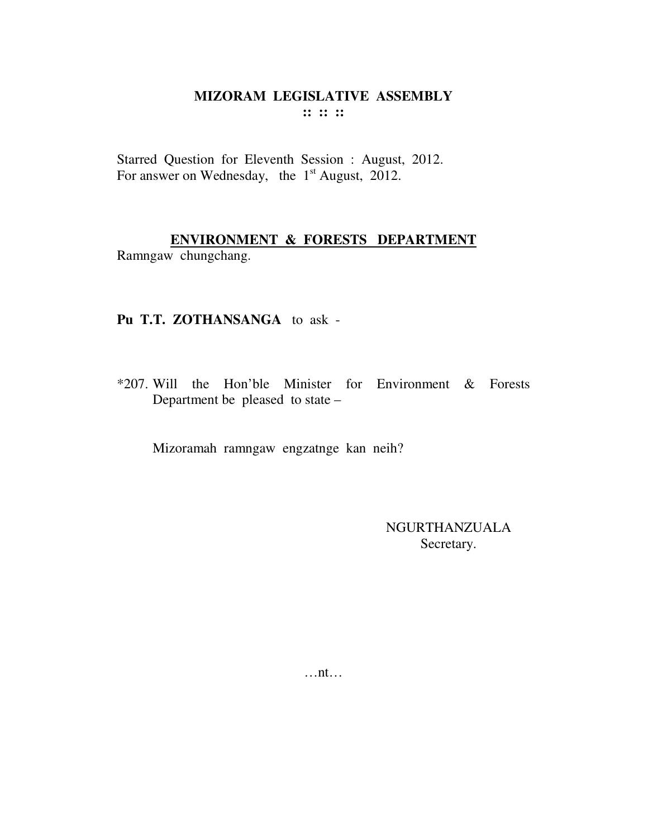## MIZORAM LEGISLATIVE ASSEMBLY :: :: ::

Starred Question for Eleventh Session : August, 2012. For answer on Wednesday, the  $1<sup>st</sup>$  August, 2012.

# ENVIRONMENT & FORESTS DEPARTMENT

Ramngaw chungchang.

## Pu T.T. ZOTHANSANGA to ask -

\*207. Will the Hon'ble Minister for Environment & Forests Department be pleased to state -

Mizoramah ramngaw engzatnge kan neih?

**NGURTHANZUALA** Secretary.

 $\dots$ nt $\dots$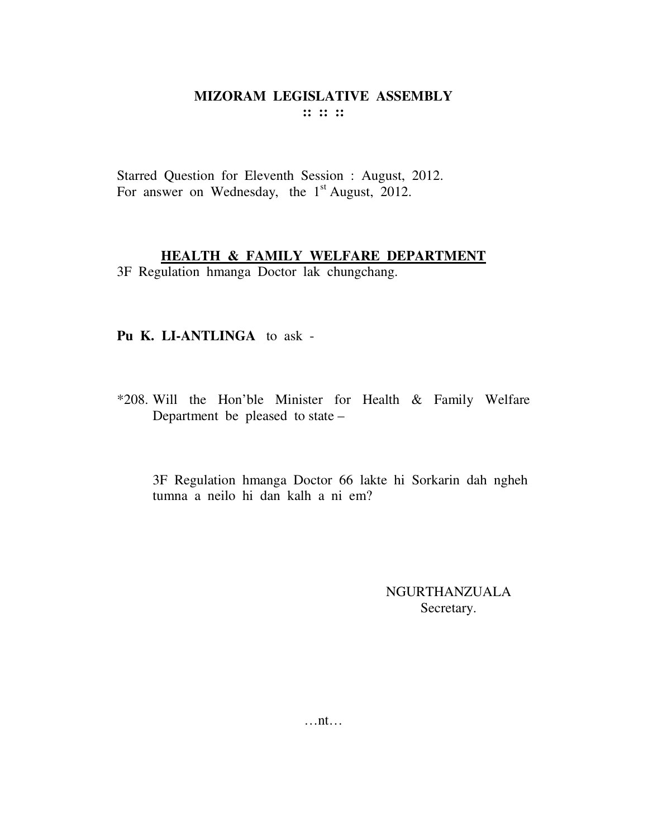## **MIZORAM LEGISLATIVE ASSEMBLY :: :: ::**

Starred Question for Eleventh Session : August, 2012. For answer on Wednesday, the  $1<sup>st</sup>$  August, 2012.

#### **HEALTH & FAMILY WELFARE DEPARTMENT**

3F Regulation hmanga Doctor lak chungchang.

#### **Pu K. LI-ANTLINGA** to ask -

\*208. Will the Hon'ble Minister for Health & Family Welfare Department be pleased to state –

3F Regulation hmanga Doctor 66 lakte hi Sorkarin dah ngheh tumna a neilo hi dan kalh a ni em?

> NGURTHANZUALA Secretary.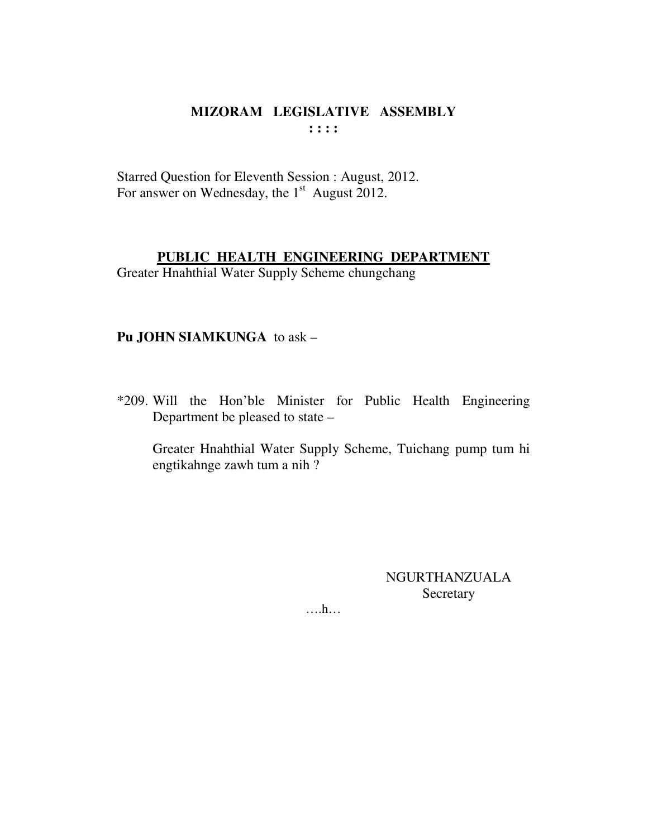# MIZORAM LEGISLATIVE ASSEMBLY  $: : : :$

Starred Question for Eleventh Session : August, 2012. For answer on Wednesday, the  $1<sup>st</sup>$  August 2012.

#### PUBLIC HEALTH ENGINEERING DEPARTMENT

Greater Hnahthial Water Supply Scheme chungchang

## Pu JOHN SIAMKUNGA to ask -

\*209. Will the Hon'ble Minister for Public Health Engineering Department be pleased to state -

Greater Hnahthial Water Supply Scheme, Tuichang pump tum hi engtikahnge zawh tum a nih?

> **NGURTHANZUALA** Secretary

 $\dots$   $h$ ...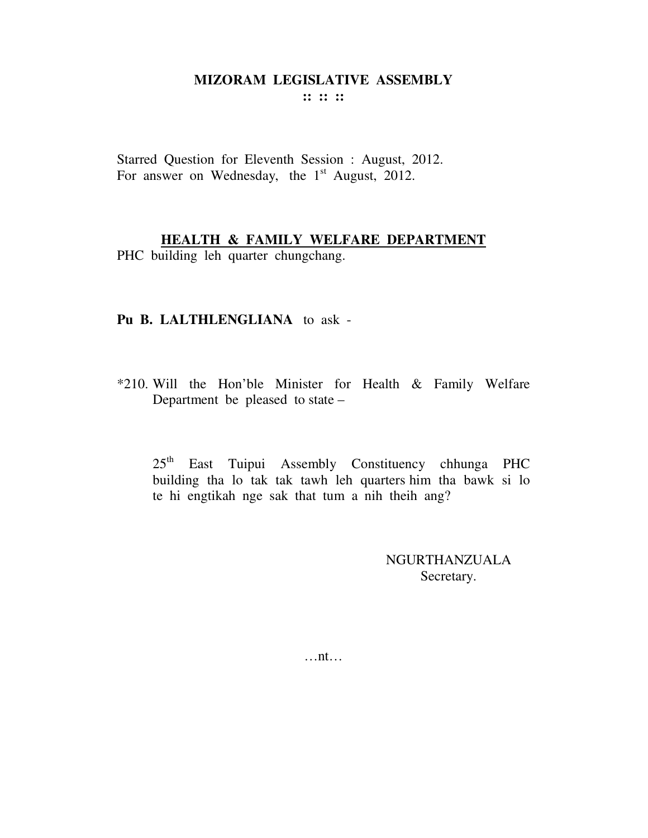**:: :: ::** 

Starred Question for Eleventh Session : August, 2012. For answer on Wednesday, the  $1<sup>st</sup>$  August, 2012.

# **HEALTH & FAMILY WELFARE DEPARTMENT**

PHC building leh quarter chungchang.

#### **Pu B. LALTHLENGLIANA** to ask -

\*210. Will the Hon'ble Minister for Health & Family Welfare Department be pleased to state –

25th East Tuipui Assembly Constituency chhunga PHC building tha lo tak tak tawh leh quarters him tha bawk si lo te hi engtikah nge sak that tum a nih theih ang?

> NGURTHANZUALA Secretary.

…nt…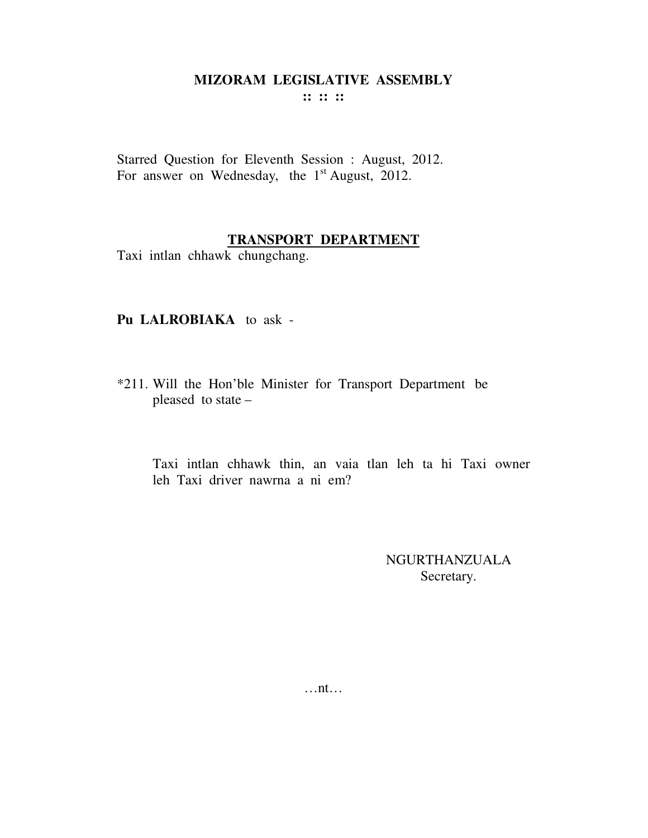**:: :: ::** 

Starred Question for Eleventh Session : August, 2012. For answer on Wednesday, the  $1<sup>st</sup>$  August, 2012.

## **TRANSPORT DEPARTMENT**

Taxi intlan chhawk chungchang.

## **Pu LALROBIAKA** to ask -

\*211. Will the Hon'ble Minister for Transport Department be pleased to state –

Taxi intlan chhawk thin, an vaia tlan leh ta hi Taxi owner leh Taxi driver nawrna a ni em?

> NGURTHANZUALA Secretary.

…nt…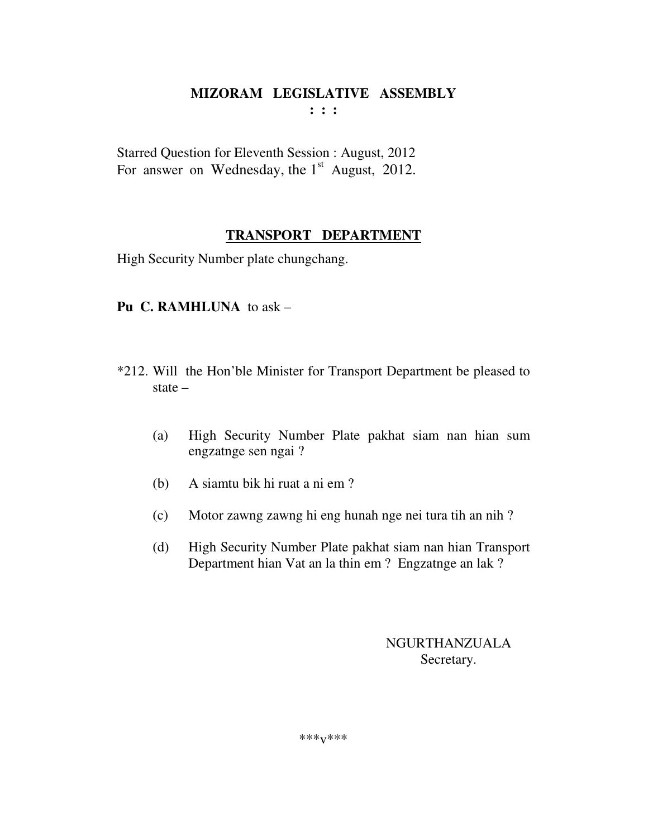Starred Question for Eleventh Session : August, 2012 For answer on Wednesday, the  $1<sup>st</sup>$  August, 2012.

# **TRANSPORT DEPARTMENT**

High Security Number plate chungchang.

# **Pu C. RAMHLUNA** to ask –

- \*212. Will the Hon'ble Minister for Transport Department be pleased to state –
	- (a) High Security Number Plate pakhat siam nan hian sum engzatnge sen ngai ?
	- (b) A siamtu bik hi ruat a ni em ?
	- (c) Motor zawng zawng hi eng hunah nge nei tura tih an nih ?
	- (d) High Security Number Plate pakhat siam nan hian Transport Department hian Vat an la thin em ? Engzatnge an lak ?

NGURTHANZUALA Secretary.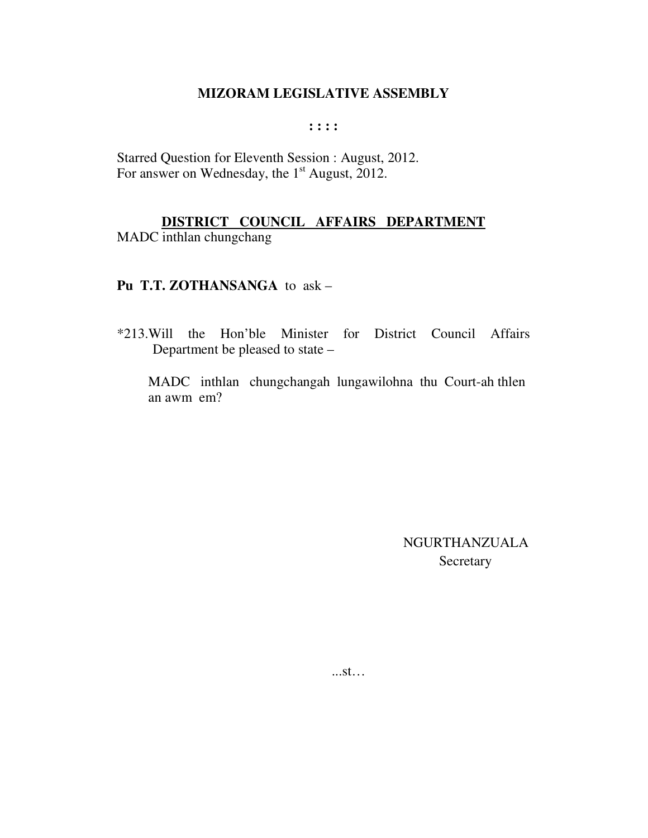**: : : :** 

Starred Question for Eleventh Session : August, 2012. For answer on Wednesday, the 1<sup>st</sup> August, 2012.

# **DISTRICT COUNCIL AFFAIRS DEPARTMENT**

MADC inthlan chungchang

## **Pu T.T. ZOTHANSANGA** to ask –

\*213.Will the Hon'ble Minister for District Council Affairs Department be pleased to state –

MADC inthlan chungchangah lungawilohna thu Court-ah thlen an awm em?

> NGURTHANZUALA Secretary

...st…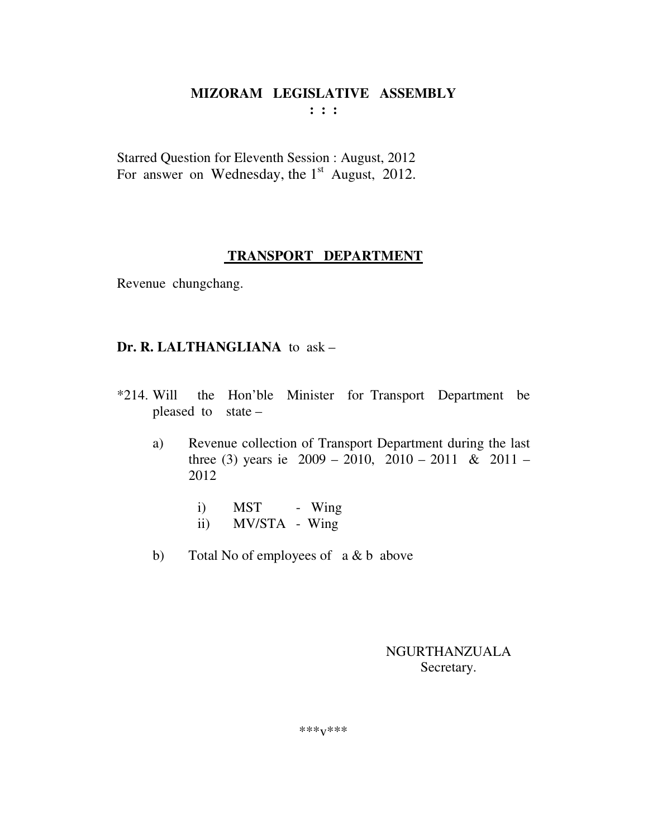Starred Question for Eleventh Session : August, 2012 For answer on Wednesday, the  $1<sup>st</sup>$  August, 2012.

#### **TRANSPORT DEPARTMENT**

Revenue chungchang.

#### **Dr. R. LALTHANGLIANA** to ask –

- \*214. Will the Hon'ble Minister for Transport Department be pleased to state –
	- a) Revenue collection of Transport Department during the last three (3) years ie  $2009 - 2010$ ,  $2010 - 2011$  &  $2011 -$ 2012
		- i) MST Wing
		- ii) MV/STA Wing
	- b) Total No of employees of a & b above

#### NGURTHANZUALA Secretary.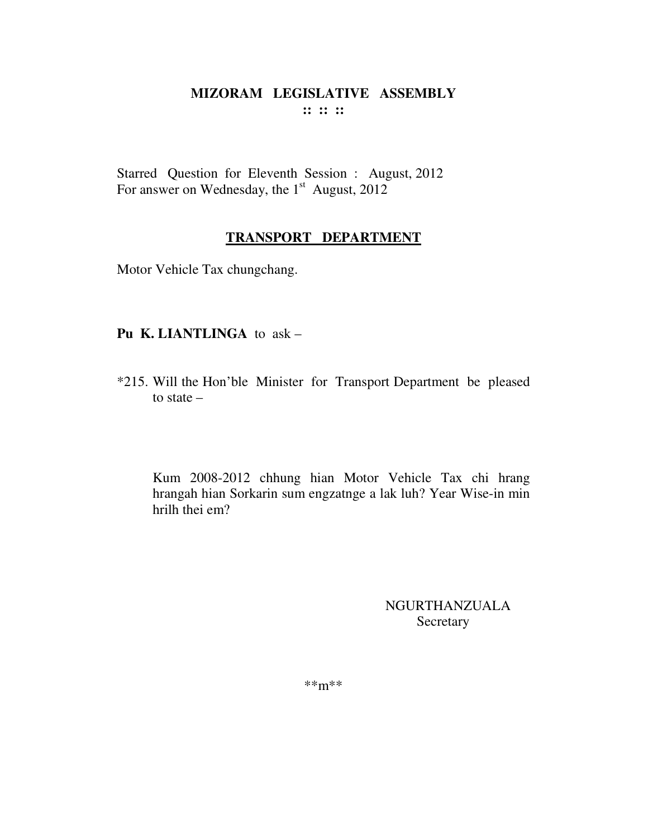Starred Question for Eleventh Session : August, 2012 For answer on Wednesday, the  $1<sup>st</sup>$  August, 2012

# TRANSPORT DEPARTMENT

Motor Vehicle Tax chungchang.

# Pu K. LIANTLINGA to ask -

\*215. Will the Hon'ble Minister for Transport Department be pleased to state  $-$ 

Kum 2008-2012 chhung hian Motor Vehicle Tax chi hrang hrangah hian Sorkarin sum engzatnge a lak luh? Year Wise-in min hrilh thei em?

> **NGURTHANZUALA** Secretary

 $***m***$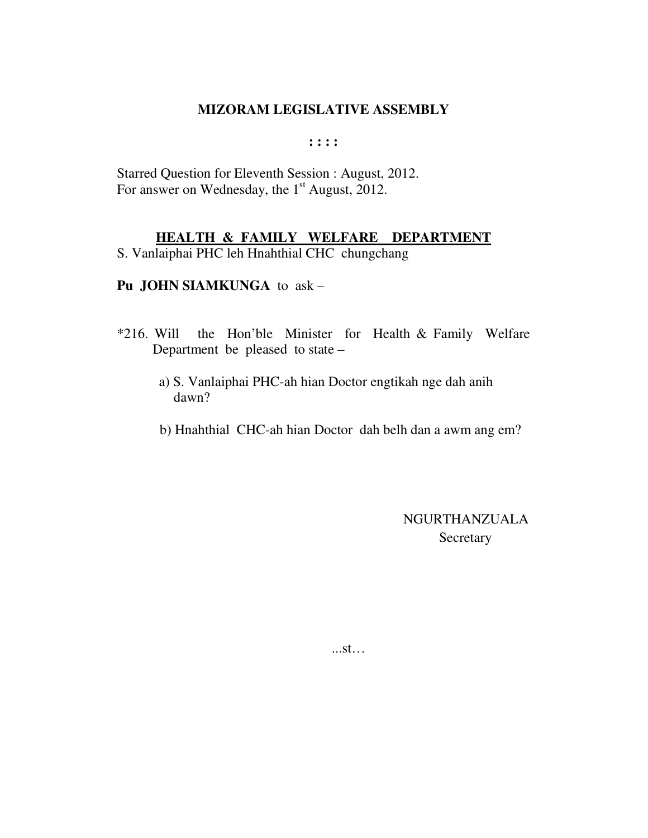**: : : :** 

Starred Question for Eleventh Session : August, 2012. For answer on Wednesday, the 1<sup>st</sup> August, 2012.

## **HEALTH & FAMILY WELFARE DEPARTMENT**

S. Vanlaiphai PHC leh Hnahthial CHC chungchang

#### **Pu JOHN SIAMKUNGA** to ask –

- \*216. Will the Hon'ble Minister for Health & Family Welfare Department be pleased to state –
	- a) S. Vanlaiphai PHC-ah hian Doctor engtikah nge dah anih dawn?
	- b) Hnahthial CHC-ah hian Doctor dah belh dan a awm ang em?

 NGURTHANZUALA **Secretary** 

...st…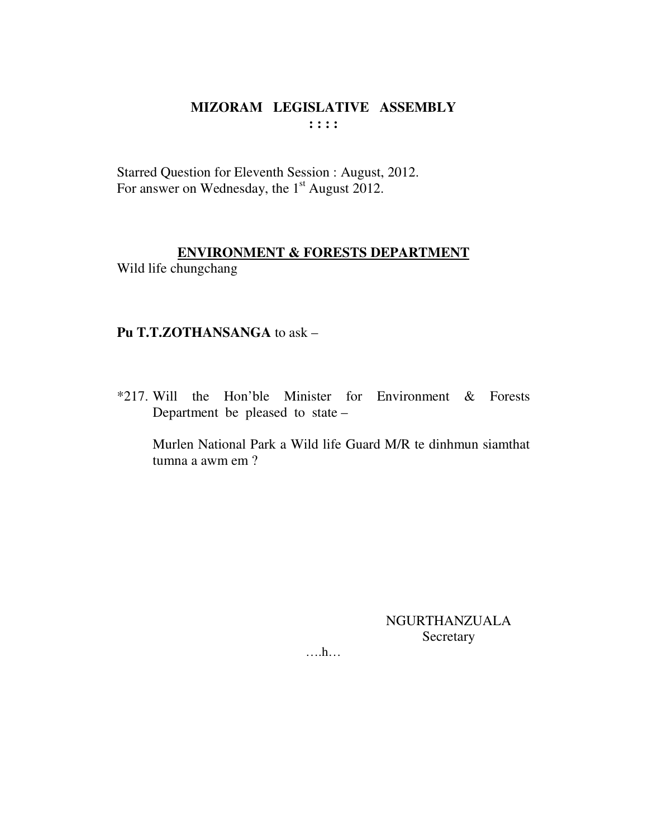# MIZORAM LEGISLATIVE ASSEMBLY  $\mathbf{1}$   $\mathbf{1}$   $\mathbf{1}$   $\mathbf{1}$

Starred Question for Eleventh Session : August, 2012. For answer on Wednesday, the 1<sup>st</sup> August 2012.

# **ENVIRONMENT & FORESTS DEPARTMENT** Wild life chungchang

# Pu T.T.ZOTHANSANGA to ask -

\*217. Will the Hon'ble Minister for Environment & Forests Department be pleased to state –

Murlen National Park a Wild life Guard M/R te dinhmun siamthat tumna a awm em ?

> **NGURTHANZUALA** Secretary

 $\dots$ ...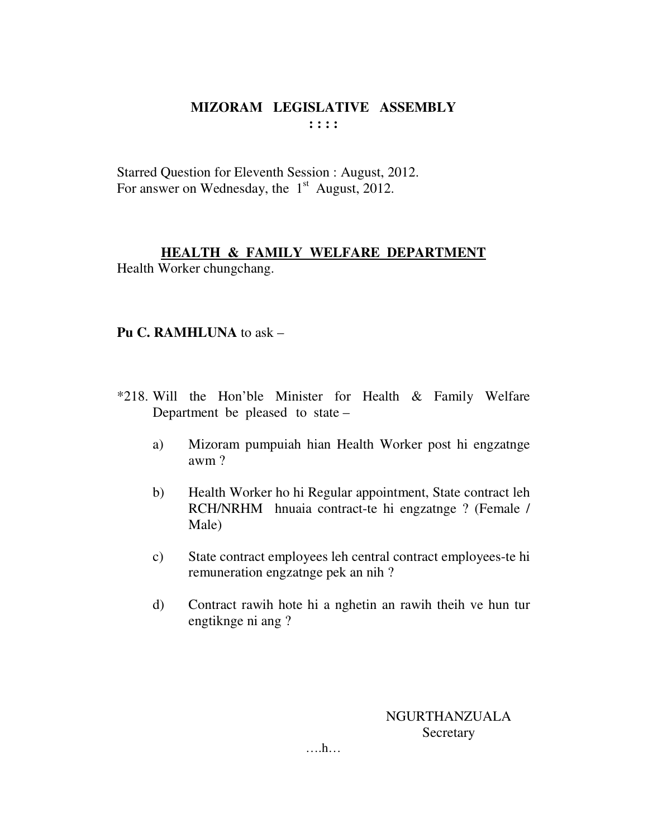## MIZORAM LEGISLATIVE ASSEMBLY  $: : : :$

Starred Question for Eleventh Session : August, 2012. For answer on Wednesday, the  $1<sup>st</sup>$  August, 2012.

# **HEALTH & FAMILY WELFARE DEPARTMENT** Health Worker chungchang.

**Pu C. RAMHLUNA** to ask –

# \*218. Will the Hon'ble Minister for Health & Family Welfare Department be pleased to state –

- a) Mizoram pumpuiah hian Health Worker post hi engzatnge awm?
- $b)$ Health Worker ho hi Regular appointment, State contract leh RCH/NRHM hnuaia contract-te hi engzatnge ? (Female / Male)
- State contract employees leh central contract employees-te hi  $c)$ remuneration engzatnge pek an nih?
- $\mathbf{d}$ Contract rawih hote hi a nghetin an rawih theih ve hun tur engtiknge ni ang ?

**NGURTHANZUALA** Secretary

 $\dots$ ...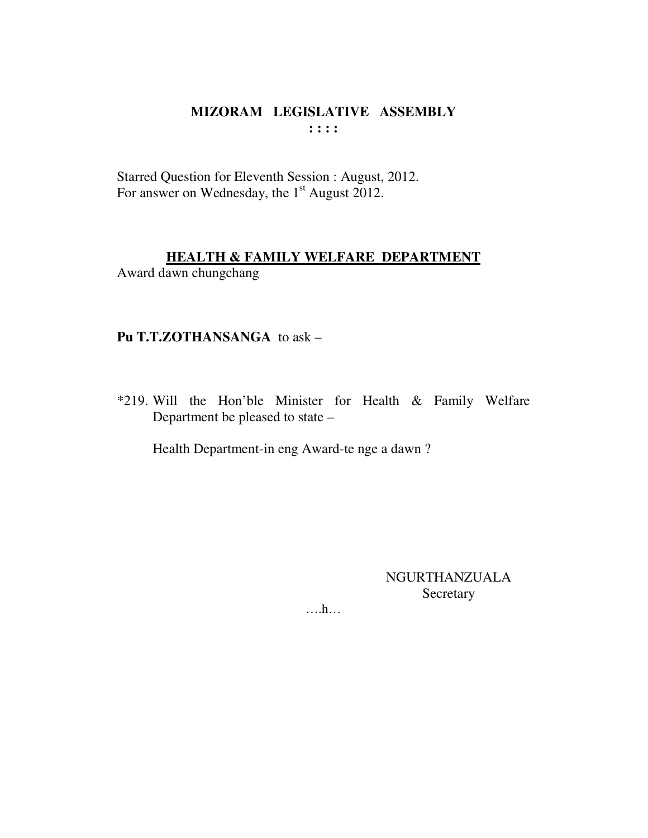# MIZORAM LEGISLATIVE ASSEMBLY  $: : : :$

Starred Question for Eleventh Session : August, 2012. For answer on Wednesday, the 1<sup>st</sup> August 2012.

## **HEALTH & FAMILY WELFARE DEPARTMENT**

Award dawn chungchang

# Pu T.T.ZOTHANSANGA to ask -

\*219. Will the Hon'ble Minister for Health & Family Welfare Department be pleased to state -

Health Department-in eng Award-te nge a dawn?

**NGURTHANZUALA** Secretary

 $\dots$   $h$ ...